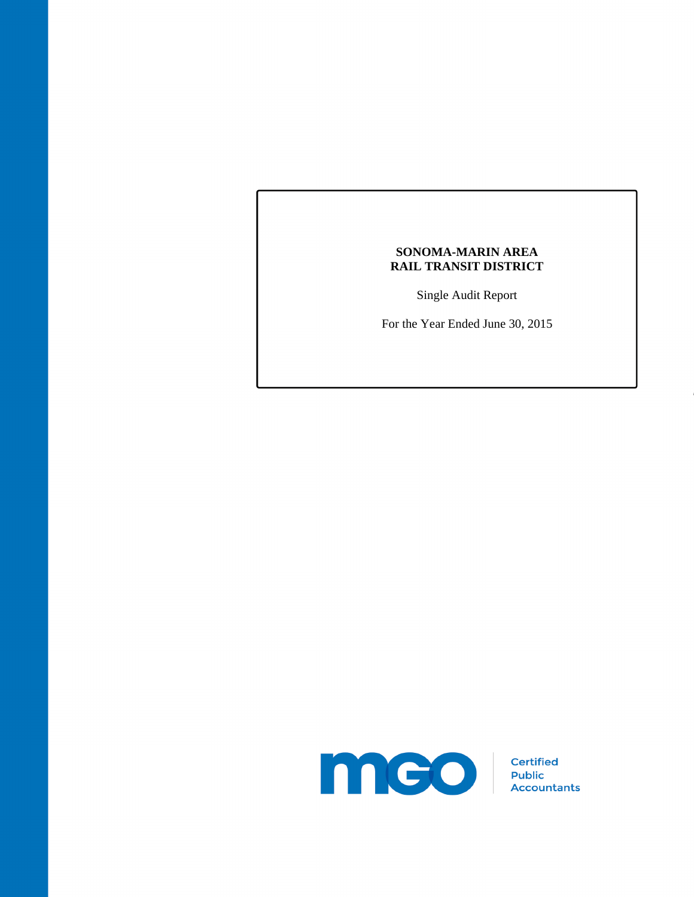Single Audit Report

For the Year Ended June 30, 2015

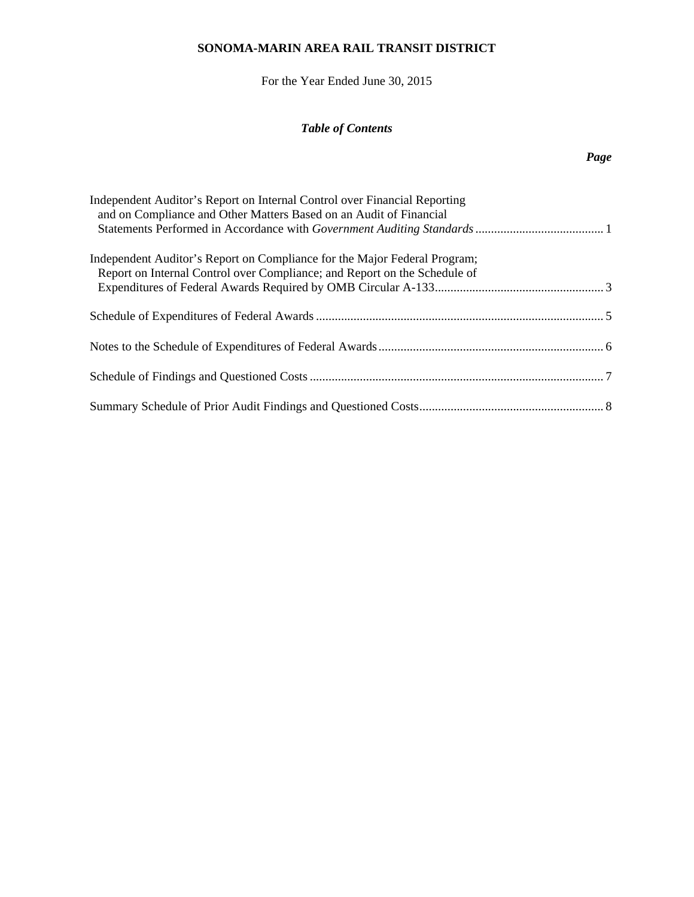For the Year Ended June 30, 2015

# *Table of Contents*

# *Page*

| Independent Auditor's Report on Internal Control over Financial Reporting<br>and on Compliance and Other Matters Based on an Audit of Financial        |  |
|--------------------------------------------------------------------------------------------------------------------------------------------------------|--|
| Independent Auditor's Report on Compliance for the Major Federal Program;<br>Report on Internal Control over Compliance; and Report on the Schedule of |  |
|                                                                                                                                                        |  |
|                                                                                                                                                        |  |
|                                                                                                                                                        |  |
|                                                                                                                                                        |  |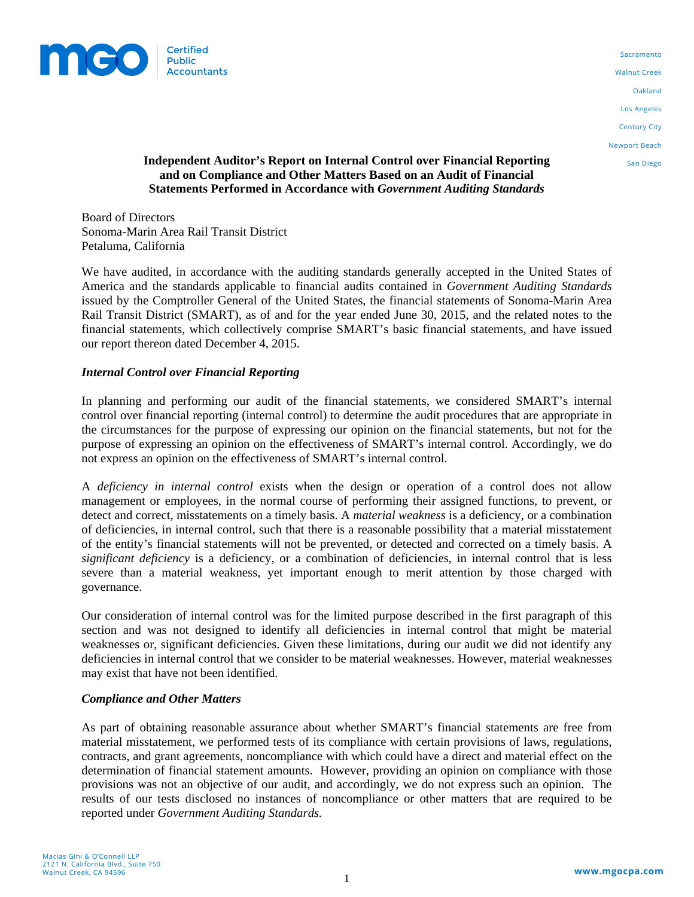

Sacramento Walnut Creek Oakland Los Angeles Century City Newport Beach San Diego

# **Independent Auditor's Report on Internal Control over Financial Reporting and on Compliance and Other Matters Based on an Audit of Financial Statements Performed in Accordance with** *Government Auditing Standards*

Board of Directors Sonoma-Marin Area Rail Transit District Petaluma, California

We have audited, in accordance with the auditing standards generally accepted in the United States of America and the standards applicable to financial audits contained in *Government Auditing Standards* issued by the Comptroller General of the United States, the financial statements of Sonoma-Marin Area Rail Transit District (SMART), as of and for the year ended June 30, 2015, and the related notes to the financial statements, which collectively comprise SMART's basic financial statements, and have issued our report thereon dated December 4, 2015.

### *Internal Control over Financial Reporting*

In planning and performing our audit of the financial statements, we considered SMART's internal control over financial reporting (internal control) to determine the audit procedures that are appropriate in the circumstances for the purpose of expressing our opinion on the financial statements, but not for the purpose of expressing an opinion on the effectiveness of SMART's internal control. Accordingly, we do not express an opinion on the effectiveness of SMART's internal control.

A *deficiency in internal control* exists when the design or operation of a control does not allow management or employees, in the normal course of performing their assigned functions, to prevent, or detect and correct, misstatements on a timely basis. A *material weakness* is a deficiency, or a combination of deficiencies, in internal control, such that there is a reasonable possibility that a material misstatement of the entity's financial statements will not be prevented, or detected and corrected on a timely basis. A *significant deficiency* is a deficiency, or a combination of deficiencies, in internal control that is less severe than a material weakness, yet important enough to merit attention by those charged with governance.

Our consideration of internal control was for the limited purpose described in the first paragraph of this section and was not designed to identify all deficiencies in internal control that might be material weaknesses or, significant deficiencies. Given these limitations, during our audit we did not identify any deficiencies in internal control that we consider to be material weaknesses. However, material weaknesses may exist that have not been identified.

#### *Compliance and Other Matters*

As part of obtaining reasonable assurance about whether SMART's financial statements are free from material misstatement, we performed tests of its compliance with certain provisions of laws, regulations, contracts, and grant agreements, noncompliance with which could have a direct and material effect on the determination of financial statement amounts. However, providing an opinion on compliance with those provisions was not an objective of our audit, and accordingly, we do not express such an opinion. The results of our tests disclosed no instances of noncompliance or other matters that are required to be reported under *Government Auditing Standards.*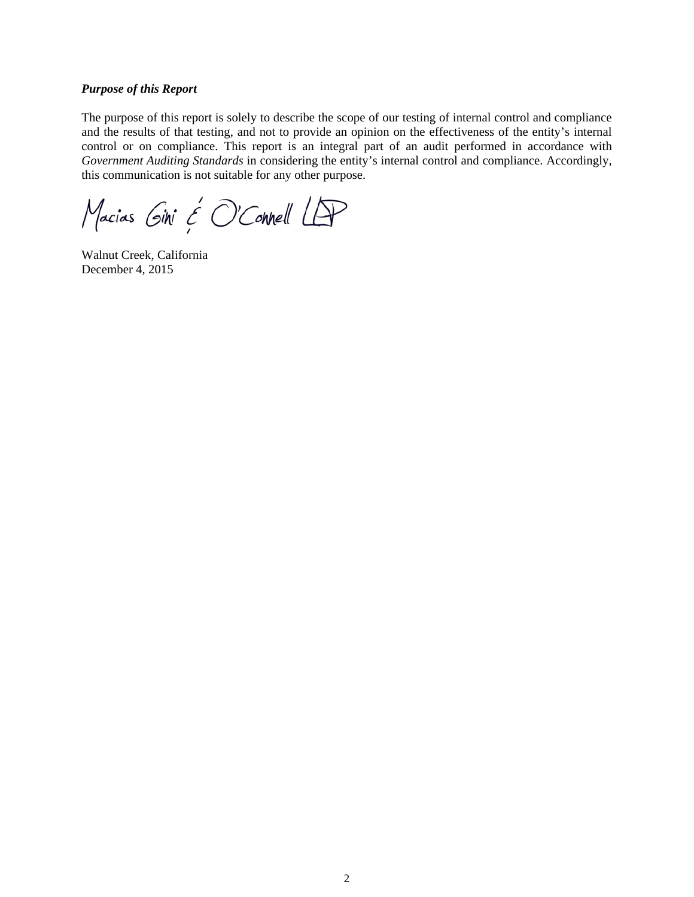#### *Purpose of this Report*

The purpose of this report is solely to describe the scope of our testing of internal control and compliance and the results of that testing, and not to provide an opinion on the effectiveness of the entity's internal control or on compliance. This report is an integral part of an audit performed in accordance with *Government Auditing Standards* in considering the entity's internal control and compliance. Accordingly, this communication is not suitable for any other purpose.

Macias Gini & O'Connell LAP

Walnut Creek, California December 4, 2015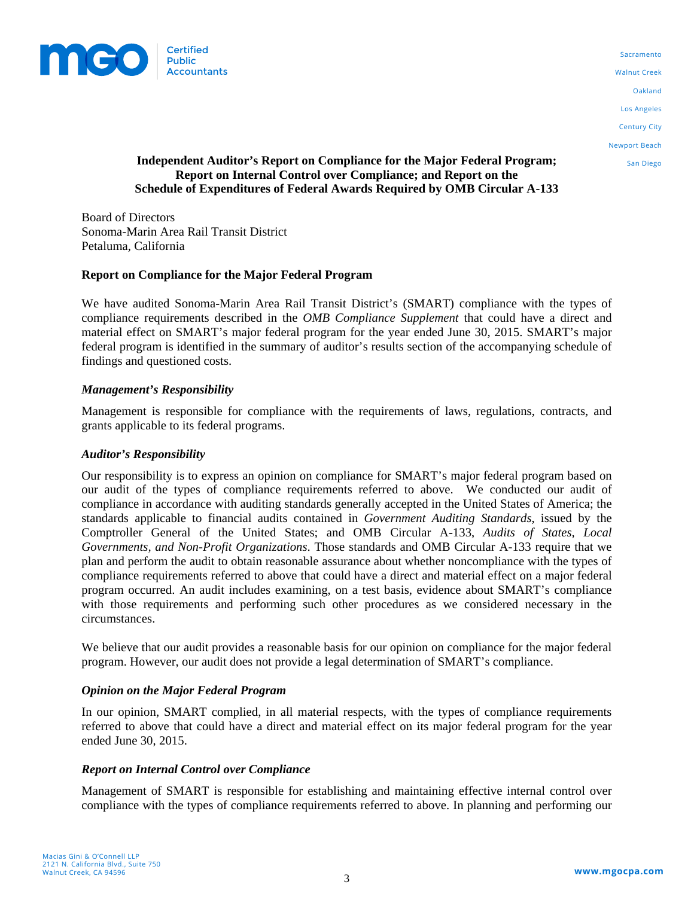

Sacramento Walnut Creek Oakland Los Angeles Century City Newport Beach San Diego

# **Independent Auditor's Report on Compliance for the Major Federal Program; Report on Internal Control over Compliance; and Report on the Schedule of Expenditures of Federal Awards Required by OMB Circular A-133**

Board of Directors Sonoma-Marin Area Rail Transit District Petaluma, California

### **Report on Compliance for the Major Federal Program**

We have audited Sonoma-Marin Area Rail Transit District's (SMART) compliance with the types of compliance requirements described in the *OMB Compliance Supplement* that could have a direct and material effect on SMART's major federal program for the year ended June 30, 2015. SMART's major federal program is identified in the summary of auditor's results section of the accompanying schedule of findings and questioned costs.

### *Management's Responsibility*

Management is responsible for compliance with the requirements of laws, regulations, contracts, and grants applicable to its federal programs.

#### *Auditor's Responsibility*

Our responsibility is to express an opinion on compliance for SMART's major federal program based on our audit of the types of compliance requirements referred to above. We conducted our audit of compliance in accordance with auditing standards generally accepted in the United States of America; the standards applicable to financial audits contained in *Government Auditing Standards*, issued by the Comptroller General of the United States; and OMB Circular A-133, *Audits of States, Local Governments, and Non-Profit Organizations*. Those standards and OMB Circular A-133 require that we plan and perform the audit to obtain reasonable assurance about whether noncompliance with the types of compliance requirements referred to above that could have a direct and material effect on a major federal program occurred. An audit includes examining, on a test basis, evidence about SMART's compliance with those requirements and performing such other procedures as we considered necessary in the circumstances.

We believe that our audit provides a reasonable basis for our opinion on compliance for the major federal program. However, our audit does not provide a legal determination of SMART's compliance.

#### *Opinion on the Major Federal Program*

In our opinion, SMART complied, in all material respects, with the types of compliance requirements referred to above that could have a direct and material effect on its major federal program for the year ended June 30, 2015.

#### *Report on Internal Control over Compliance*

Management of SMART is responsible for establishing and maintaining effective internal control over compliance with the types of compliance requirements referred to above. In planning and performing our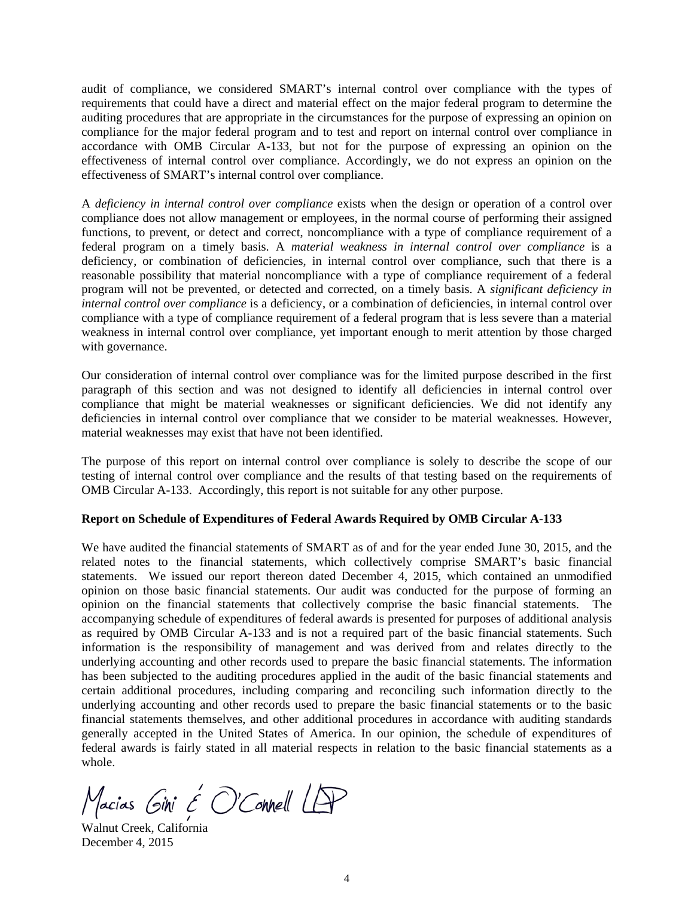audit of compliance, we considered SMART's internal control over compliance with the types of requirements that could have a direct and material effect on the major federal program to determine the auditing procedures that are appropriate in the circumstances for the purpose of expressing an opinion on compliance for the major federal program and to test and report on internal control over compliance in accordance with OMB Circular A-133, but not for the purpose of expressing an opinion on the effectiveness of internal control over compliance. Accordingly, we do not express an opinion on the effectiveness of SMART's internal control over compliance.

A *deficiency in internal control over compliance* exists when the design or operation of a control over compliance does not allow management or employees, in the normal course of performing their assigned functions, to prevent, or detect and correct, noncompliance with a type of compliance requirement of a federal program on a timely basis. A *material weakness in internal control over compliance* is a deficiency, or combination of deficiencies, in internal control over compliance, such that there is a reasonable possibility that material noncompliance with a type of compliance requirement of a federal program will not be prevented, or detected and corrected, on a timely basis. A *significant deficiency in internal control over compliance* is a deficiency, or a combination of deficiencies, in internal control over compliance with a type of compliance requirement of a federal program that is less severe than a material weakness in internal control over compliance, yet important enough to merit attention by those charged with governance.

Our consideration of internal control over compliance was for the limited purpose described in the first paragraph of this section and was not designed to identify all deficiencies in internal control over compliance that might be material weaknesses or significant deficiencies. We did not identify any deficiencies in internal control over compliance that we consider to be material weaknesses. However, material weaknesses may exist that have not been identified.

The purpose of this report on internal control over compliance is solely to describe the scope of our testing of internal control over compliance and the results of that testing based on the requirements of OMB Circular A-133. Accordingly, this report is not suitable for any other purpose.

#### **Report on Schedule of Expenditures of Federal Awards Required by OMB Circular A-133**

We have audited the financial statements of SMART as of and for the year ended June 30, 2015, and the related notes to the financial statements, which collectively comprise SMART's basic financial statements. We issued our report thereon dated December 4, 2015, which contained an unmodified opinion on those basic financial statements. Our audit was conducted for the purpose of forming an opinion on the financial statements that collectively comprise the basic financial statements. The accompanying schedule of expenditures of federal awards is presented for purposes of additional analysis as required by OMB Circular A-133 and is not a required part of the basic financial statements. Such information is the responsibility of management and was derived from and relates directly to the underlying accounting and other records used to prepare the basic financial statements. The information has been subjected to the auditing procedures applied in the audit of the basic financial statements and certain additional procedures, including comparing and reconciling such information directly to the underlying accounting and other records used to prepare the basic financial statements or to the basic financial statements themselves, and other additional procedures in accordance with auditing standards generally accepted in the United States of America. In our opinion, the schedule of expenditures of federal awards is fairly stated in all material respects in relation to the basic financial statements as a whole.

Macias Gini  $\acute{\epsilon}$  O'Connell LP

Walnut Creek, California December 4, 2015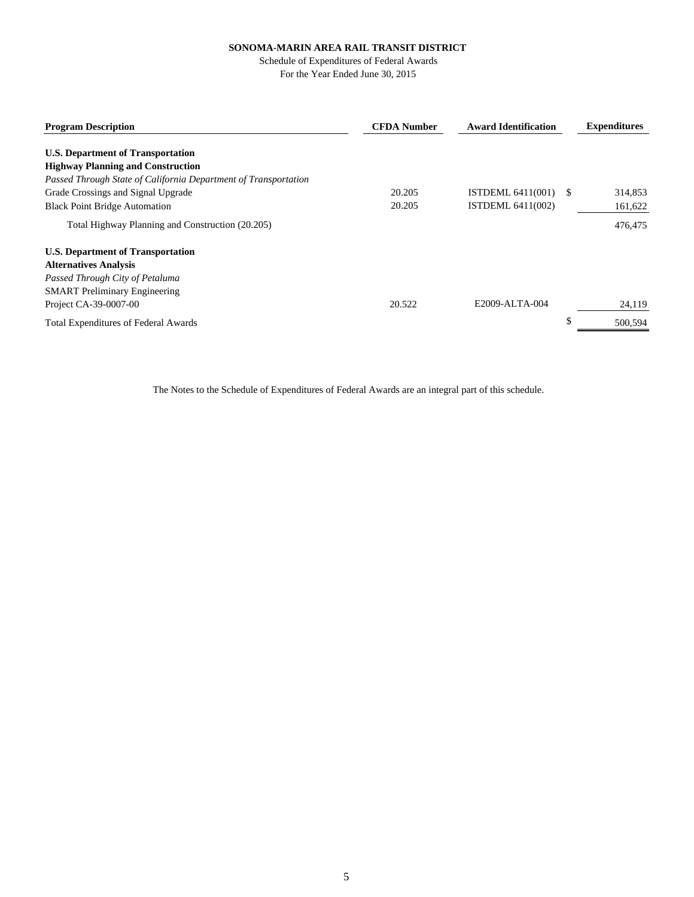Schedule of Expenditures of Federal Awards For the Year Ended June 30, 2015

| <b>Program Description</b>                                      | <b>CFDA Number</b> | <b>Award Identification</b> | <b>Expenditures</b> |
|-----------------------------------------------------------------|--------------------|-----------------------------|---------------------|
| <b>U.S. Department of Transportation</b>                        |                    |                             |                     |
| <b>Highway Planning and Construction</b>                        |                    |                             |                     |
| Passed Through State of California Department of Transportation |                    |                             |                     |
| Grade Crossings and Signal Upgrade                              | 20.205             | ISTDEML 6411(001) \$        | 314,853             |
| <b>Black Point Bridge Automation</b>                            | 20.205             | ISTDEML 6411(002)           | 161,622             |
| Total Highway Planning and Construction (20.205)                |                    |                             | 476,475             |
| <b>U.S. Department of Transportation</b>                        |                    |                             |                     |
| <b>Alternatives Analysis</b>                                    |                    |                             |                     |
| Passed Through City of Petaluma                                 |                    |                             |                     |
| <b>SMART</b> Preliminary Engineering                            |                    |                             |                     |
| Project CA-39-0007-00                                           | 20.522             | E2009-ALTA-004              | 24,119              |
| <b>Total Expenditures of Federal Awards</b>                     |                    |                             | 500,594             |

The Notes to the Schedule of Expenditures of Federal Awards are an integral part of this schedule.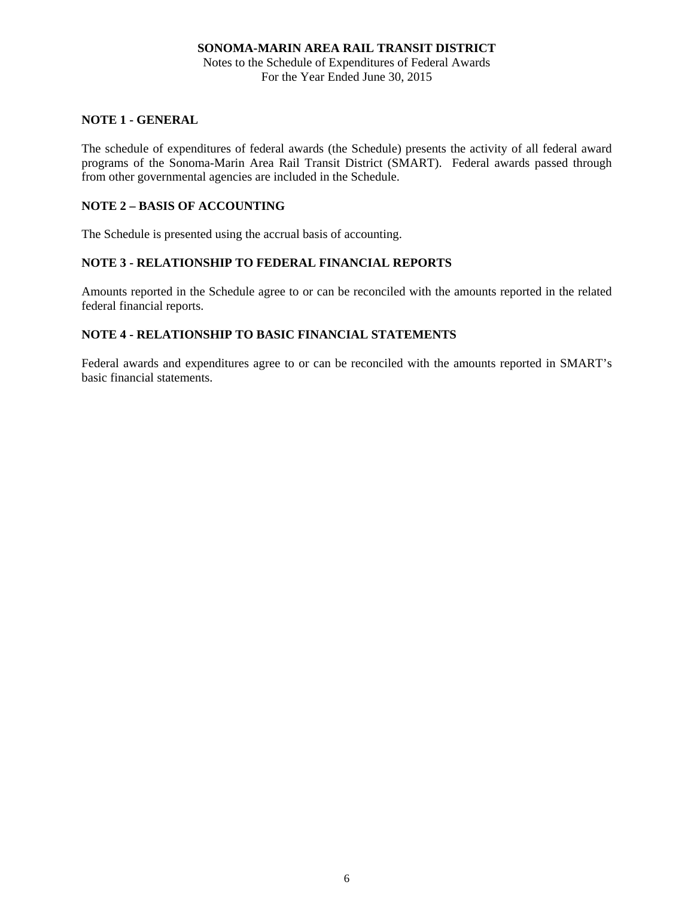Notes to the Schedule of Expenditures of Federal Awards For the Year Ended June 30, 2015

### **NOTE 1 - GENERAL**

The schedule of expenditures of federal awards (the Schedule) presents the activity of all federal award programs of the Sonoma-Marin Area Rail Transit District (SMART). Federal awards passed through from other governmental agencies are included in the Schedule.

# **NOTE 2 – BASIS OF ACCOUNTING**

The Schedule is presented using the accrual basis of accounting.

## **NOTE 3 - RELATIONSHIP TO FEDERAL FINANCIAL REPORTS**

Amounts reported in the Schedule agree to or can be reconciled with the amounts reported in the related federal financial reports.

### **NOTE 4 - RELATIONSHIP TO BASIC FINANCIAL STATEMENTS**

Federal awards and expenditures agree to or can be reconciled with the amounts reported in SMART's basic financial statements.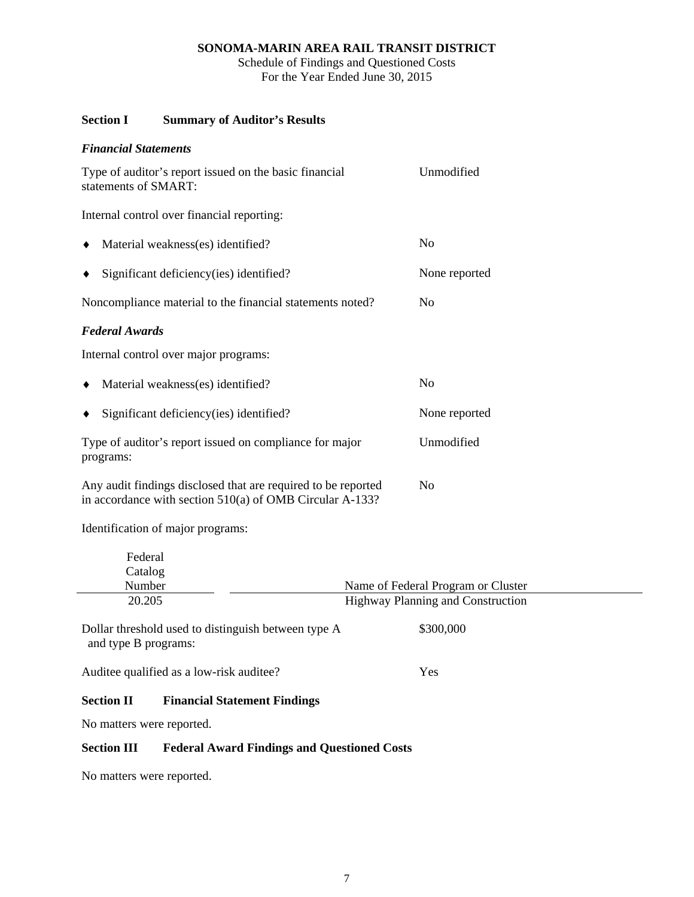Schedule of Findings and Questioned Costs For the Year Ended June 30, 2015

# **Section I Summary of Auditor's Results**

| <b>Financial Statements</b>                                                                                               |                                    |
|---------------------------------------------------------------------------------------------------------------------------|------------------------------------|
| Type of auditor's report issued on the basic financial<br>statements of SMART:                                            | Unmodified                         |
| Internal control over financial reporting:                                                                                |                                    |
| Material weakness(es) identified?                                                                                         | N <sub>0</sub>                     |
| Significant deficiency(ies) identified?                                                                                   | None reported                      |
| Noncompliance material to the financial statements noted?                                                                 | N <sub>0</sub>                     |
| <b>Federal Awards</b>                                                                                                     |                                    |
| Internal control over major programs:                                                                                     |                                    |
| Material weakness(es) identified?                                                                                         | N <sub>o</sub>                     |
| Significant deficiency (ies) identified?                                                                                  | None reported                      |
| Type of auditor's report issued on compliance for major<br>programs:                                                      | Unmodified                         |
| Any audit findings disclosed that are required to be reported<br>in accordance with section 510(a) of OMB Circular A-133? | N <sub>0</sub>                     |
| Identification of major programs:                                                                                         |                                    |
| Federal<br>Catalog<br>Number                                                                                              | Name of Federal Program or Cluster |
| 20.205                                                                                                                    | Highway Planning and Construction  |
| Dollar threshold used to distinguish between type A<br>and type B programs:                                               | \$300,000                          |
| Auditee qualified as a low-risk auditee?                                                                                  | Yes                                |
| <b>Section II</b><br><b>Financial Statement Findings</b>                                                                  |                                    |
| No matters were reported.                                                                                                 |                                    |

# **Section III Federal Award Findings and Questioned Costs**

No matters were reported.